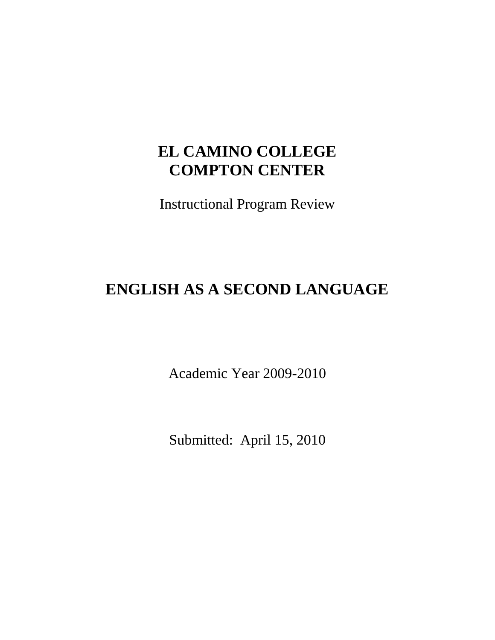# **EL CAMINO COLLEGE COMPTON CENTER**

Instructional Program Review

# **ENGLISH AS A SECOND LANGUAGE**

Academic Year 2009-2010

Submitted: April 15, 2010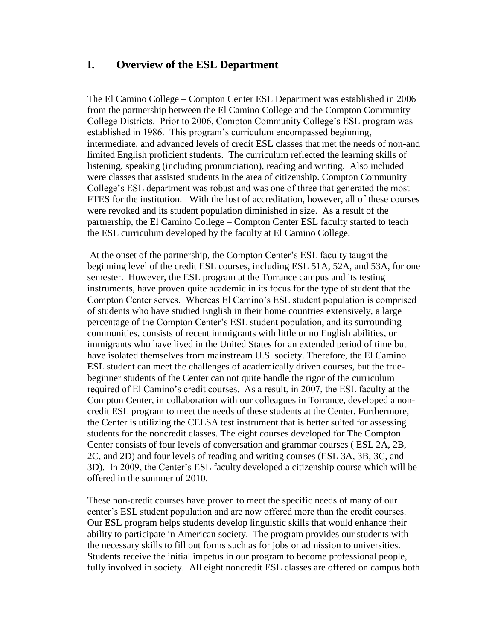# **I. Overview of the ESL Department**

The El Camino College – Compton Center ESL Department was established in 2006 from the partnership between the El Camino College and the Compton Community College Districts. Prior to 2006, Compton Community College's ESL program was established in 1986. This program's curriculum encompassed beginning, intermediate, and advanced levels of credit ESL classes that met the needs of non-and limited English proficient students. The curriculum reflected the learning skills of listening, speaking (including pronunciation), reading and writing. Also included were classes that assisted students in the area of citizenship. Compton Community College's ESL department was robust and was one of three that generated the most FTES for the institution. With the lost of accreditation, however, all of these courses were revoked and its student population diminished in size. As a result of the partnership, the El Camino College – Compton Center ESL faculty started to teach the ESL curriculum developed by the faculty at El Camino College.

At the onset of the partnership, the Compton Center's ESL faculty taught the beginning level of the credit ESL courses, including ESL 51A, 52A, and 53A, for one semester. However, the ESL program at the Torrance campus and its testing instruments, have proven quite academic in its focus for the type of student that the Compton Center serves. Whereas El Camino's ESL student population is comprised of students who have studied English in their home countries extensively, a large percentage of the Compton Center's ESL student population, and its surrounding communities, consists of recent immigrants with little or no English abilities, or immigrants who have lived in the United States for an extended period of time but have isolated themselves from mainstream U.S. society. Therefore, the El Camino ESL student can meet the challenges of academically driven courses, but the truebeginner students of the Center can not quite handle the rigor of the curriculum required of El Camino's credit courses. As a result, in 2007, the ESL faculty at the Compton Center, in collaboration with our colleagues in Torrance, developed a noncredit ESL program to meet the needs of these students at the Center. Furthermore, the Center is utilizing the CELSA test instrument that is better suited for assessing students for the noncredit classes. The eight courses developed for The Compton Center consists of four levels of conversation and grammar courses ( ESL 2A, 2B, 2C, and 2D) and four levels of reading and writing courses (ESL 3A, 3B, 3C, and 3D). In 2009, the Center's ESL faculty developed a citizenship course which will be offered in the summer of 2010.

These non-credit courses have proven to meet the specific needs of many of our center's ESL student population and are now offered more than the credit courses. Our ESL program helps students develop linguistic skills that would enhance their ability to participate in American society. The program provides our students with the necessary skills to fill out forms such as for jobs or admission to universities. Students receive the initial impetus in our program to become professional people, fully involved in society. All eight noncredit ESL classes are offered on campus both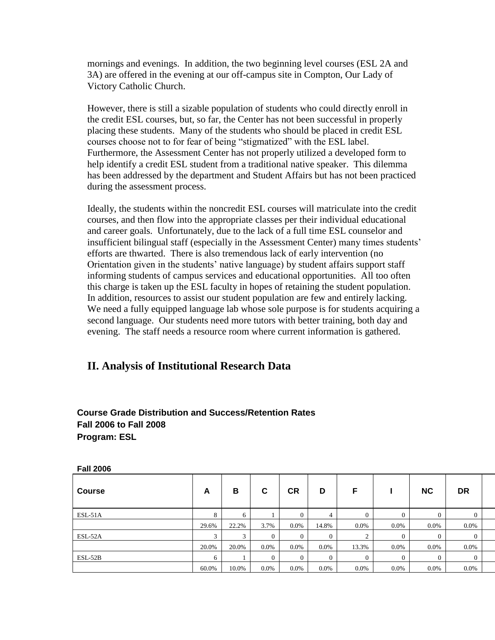mornings and evenings. In addition, the two beginning level courses (ESL 2A and 3A) are offered in the evening at our off-campus site in Compton, Our Lady of Victory Catholic Church.

However, there is still a sizable population of students who could directly enroll in the credit ESL courses, but, so far, the Center has not been successful in properly placing these students. Many of the students who should be placed in credit ESL courses choose not to for fear of being "stigmatized" with the ESL label. Furthermore, the Assessment Center has not properly utilized a developed form to help identify a credit ESL student from a traditional native speaker. This dilemma has been addressed by the department and Student Affairs but has not been practiced during the assessment process.

Ideally, the students within the noncredit ESL courses will matriculate into the credit courses, and then flow into the appropriate classes per their individual educational and career goals. Unfortunately, due to the lack of a full time ESL counselor and insufficient bilingual staff (especially in the Assessment Center) many times students' efforts are thwarted. There is also tremendous lack of early intervention (no Orientation given in the students' native language) by student affairs support staff informing students of campus services and educational opportunities. All too often this charge is taken up the ESL faculty in hopes of retaining the student population. In addition, resources to assist our student population are few and entirely lacking. We need a fully equipped language lab whose sole purpose is for students acquiring a second language. Our students need more tutors with better training, both day and evening. The staff needs a resource room where current information is gathered.

# **II. Analysis of Institutional Research Data**

#### **Course Grade Distribution and Success/Retention Rates Fall 2006 to Fall 2008 Program: ESL**

| ı alı ∠∪∪∪    |       |       |                |                |              |          |                  |           |                |  |
|---------------|-------|-------|----------------|----------------|--------------|----------|------------------|-----------|----------------|--|
| <b>Course</b> | A     | В     | С              | <b>CR</b>      | D            | F        |                  | <b>NC</b> | <b>DR</b>      |  |
| $ESL-51A$     |       |       |                | $\overline{0}$ |              | 0.       |                  |           | $\overline{0}$ |  |
|               | 29.6% | 22.2% | 3.7%           | $0.0\%$        | 14.8%        | $0.0\%$  | $0.0\%$          | $0.0\%$   | $0.0\%$        |  |
| ESL-52A       |       |       | $\overline{0}$ | $\overline{0}$ | $\mathbf{0}$ | ∠        | $\boldsymbol{0}$ | $\Omega$  | $\mathbf{0}$   |  |
|               | 20.0% | 20.0% | 0.0%           | $0.0\%$        | $0.0\%$      | 13.3%    | $0.0\%$          | $0.0\%$   | $0.0\%$        |  |
| $ESL-52B$     |       |       | $\Omega$       | $\theta$       | $\theta$     | $\Omega$ | $\mathbf{0}$     | $\Omega$  | $\overline{0}$ |  |
|               | 60.0% | 10.0% | $0.0\%$        | $0.0\%$        | $0.0\%$      | 0.0%     | $0.0\%$          | $0.0\%$   | 0.0%           |  |

**Fall 2006**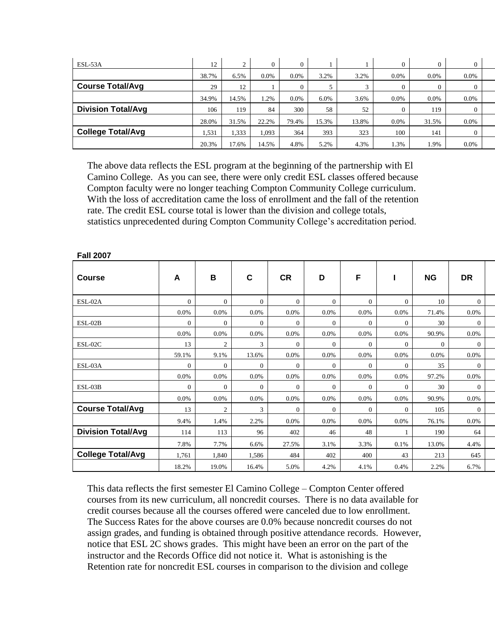| ESL-53A                   | 12    |       | 0     | $\Omega$ |       |       |         |       | $\Omega$ |  |
|---------------------------|-------|-------|-------|----------|-------|-------|---------|-------|----------|--|
|                           | 38.7% | 6.5%  | 0.0%  | $0.0\%$  | 3.2%  | 3.2%  | $0.0\%$ | 0.0%  | 0.0%     |  |
| <b>Course Total/Avg</b>   | 29    | 12    |       | $\theta$ |       |       |         |       |          |  |
|                           | 34.9% | 14.5% | .2%   | $0.0\%$  | 6.0%  | 3.6%  | $0.0\%$ | 0.0%  | 0.0%     |  |
| <b>Division Total/Avg</b> | 106   | 119   | 84    | 300      | 58    | 52    |         | 119   | $\Omega$ |  |
|                           | 28.0% | 31.5% | 22.2% | 79.4%    | 15.3% | 13.8% | $0.0\%$ | 31.5% | $0.0\%$  |  |
| <b>College Total/Avg</b>  | 1,531 | 1,333 | 1,093 | 364      | 393   | 323   | 100     | 141   | $\Omega$ |  |
|                           | 20.3% | 17.6% | 14.5% | 4.8%     | 5.2%  | 4.3%  | 1.3%    | 1.9%  | 0.0%     |  |

The above data reflects the ESL program at the beginning of the partnership with El Camino College. As you can see, there were only credit ESL classes offered because Compton faculty were no longer teaching Compton Community College curriculum. With the loss of accreditation came the loss of enrollment and the fall of the retention rate. The credit ESL course total is lower than the division and college totals, statistics unprecedented during Compton Community College's accreditation period.

| <b>Course</b>             | A              | B              | $\mathbf c$    | <b>CR</b>      | D              | F              |                | <b>NG</b>      | <b>DR</b>      |  |
|---------------------------|----------------|----------------|----------------|----------------|----------------|----------------|----------------|----------------|----------------|--|
| ESL-02A                   | $\Omega$       | $\overline{0}$ | $\Omega$       | $\Omega$       | $\overline{0}$ | $\Omega$       | $\overline{0}$ | 10             | $\theta$       |  |
|                           | 0.0%           | 0.0%           | $0.0\%$        | 0.0%           | 0.0%           | 0.0%           | 0.0%           | 71.4%          | $0.0\%$        |  |
| ESL-02B                   | $\Omega$       | $\overline{0}$ | $\overline{0}$ | $\Omega$       | $\overline{0}$ | $\overline{0}$ | $\overline{0}$ | 30             | $\overline{0}$ |  |
|                           | 0.0%           | $0.0\%$        | $0.0\%$        | 0.0%           | 0.0%           | 0.0%           | $0.0\%$        | 90.9%          | $0.0\%$        |  |
| ESL-02C                   | 13             | 2              | 3              | $\overline{0}$ | $\overline{0}$ | $\mathbf{0}$   | $\overline{0}$ | $\overline{0}$ | $\overline{0}$ |  |
|                           | 59.1%          | 9.1%           | 13.6%          | 0.0%           | 0.0%           | 0.0%           | 0.0%           | 0.0%           | $0.0\%$        |  |
| ESL-03A                   | $\overline{0}$ | $\overline{0}$ | $\overline{0}$ | $\mathbf{0}$   | $\overline{0}$ | $\overline{0}$ | $\overline{0}$ | 35             | $\overline{0}$ |  |
|                           | 0.0%           | $0.0\%$        | $0.0\%$        | 0.0%           | 0.0%           | 0.0%           | $0.0\%$        | 97.2%          | $0.0\%$        |  |
| ESL-03B                   | $\Omega$       | $\overline{0}$ | $\overline{0}$ | $\Omega$       | $\overline{0}$ | $\theta$       | $\overline{0}$ | 30             | $\mathbf{0}$   |  |
|                           | 0.0%           | 0.0%           | $0.0\%$        | $0.0\%$        | 0.0%           | 0.0%           | $0.0\%$        | 90.9%          | $0.0\%$        |  |
| <b>Course Total/Avg</b>   | 13             | 2              | 3              | $\Omega$       | $\overline{0}$ | $\mathbf{0}$   | $\overline{0}$ | 105            | $\overline{0}$ |  |
|                           | 9.4%           | 1.4%           | 2.2%           | 0.0%           | $0.0\%$        | 0.0%           | 0.0%           | 76.1%          | $0.0\%$        |  |
| <b>Division Total/Avg</b> | 114            | 113            | 96             | 402            | 46             | 48             |                | 190            | 64             |  |
|                           | 7.8%           | 7.7%           | 6.6%           | 27.5%          | 3.1%           | 3.3%           | $0.1\%$        | 13.0%          | 4.4%           |  |
| <b>College Total/Avg</b>  | 1,761          | 1,840          | 1,586          | 484            | 402            | 400            | 43             | 213            | 645            |  |
|                           | 18.2%          | 19.0%          | 16.4%          | 5.0%           | 4.2%           | 4.1%           | 0.4%           | 2.2%           | 6.7%           |  |

#### **Fall 2007**

This data reflects the first semester El Camino College – Compton Center offered courses from its new curriculum, all noncredit courses. There is no data available for credit courses because all the courses offered were canceled due to low enrollment. The Success Rates for the above courses are 0.0% because noncredit courses do not assign grades, and funding is obtained through positive attendance records. However, notice that ESL 2C shows grades. This might have been an error on the part of the instructor and the Records Office did not notice it. What is astonishing is the Retention rate for noncredit ESL courses in comparison to the division and college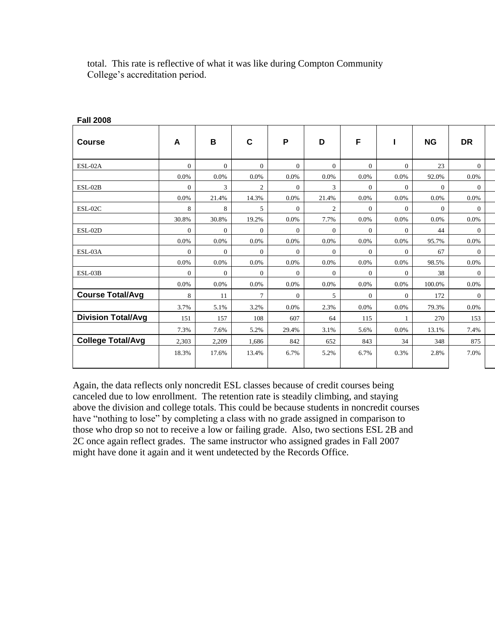| <b>Fall ZUUO</b>          |                |                |                |                |                |                |                |           |                |
|---------------------------|----------------|----------------|----------------|----------------|----------------|----------------|----------------|-----------|----------------|
| Course                    | A              | B              | $\mathbf c$    | P              | D              | F              | Т.             | <b>NG</b> | <b>DR</b>      |
| ESL-02A                   | $\Omega$       | $\overline{0}$ | $\Omega$       | $\Omega$       | $\Omega$       | $\overline{0}$ | $\overline{0}$ | 23        | $\overline{0}$ |
|                           | $0.0\%$        | $0.0\%$        | 0.0%           | 0.0%           | 0.0%           | 0.0%           | 0.0%           | 92.0%     | 0.0%           |
| $ESL-02B$                 | $\overline{0}$ | 3              | $\overline{c}$ | $\overline{0}$ | 3              | $\overline{0}$ | $\overline{0}$ | $\theta$  | $\overline{0}$ |
|                           | 0.0%           | 21.4%          | 14.3%          | 0.0%           | 21.4%          | 0.0%           | $0.0\%$        | 0.0%      | $0.0\%$        |
| ESL-02C                   | 8              | 8              | 5              | $\Omega$       | 2              | $\overline{0}$ | $\overline{0}$ | $\theta$  | $\Omega$       |
|                           | 30.8%          | 30.8%          | 19.2%          | 0.0%           | 7.7%           | 0.0%           | 0.0%           | 0.0%      | 0.0%           |
| ESL-02D                   | $\overline{0}$ | $\overline{0}$ | $\Omega$       | $\Omega$       | $\overline{0}$ | $\overline{0}$ | $\mathbf{0}$   | 44        | $\overline{0}$ |
|                           | 0.0%           | $0.0\%$        | 0.0%           | $0.0\%$        | 0.0%           | 0.0%           | 0.0%           | 95.7%     | $0.0\%$        |
| ESL-03A                   | $\Omega$       | $\overline{0}$ | $\Omega$       | $\Omega$       | $\overline{0}$ | $\overline{0}$ | $\overline{0}$ | 67        | $\overline{0}$ |
|                           | 0.0%           | $0.0\%$        | 0.0%           | $0.0\%$        | $0.0\%$        | $0.0\%$        | 0.0%           | 98.5%     | $0.0\%$        |
| $ESL-03B$                 | $\overline{0}$ | $\overline{0}$ | $\Omega$       | $\Omega$       | $\overline{0}$ | $\overline{0}$ | $\overline{0}$ | 38        | $\overline{0}$ |
|                           | $0.0\%$        | 0.0%           | $0.0\%$        | $0.0\%$        | $0.0\%$        | 0.0%           | $0.0\%$        | 100.0%    | $0.0\%$        |
| <b>Course Total/Avg</b>   | 8              | 11             | $\tau$         | $\theta$       | 5              | $\overline{0}$ | $\overline{0}$ | 172       | $\overline{0}$ |
|                           | 3.7%           | 5.1%           | 3.2%           | $0.0\%$        | 2.3%           | 0.0%           | $0.0\%$        | 79.3%     | $0.0\%$        |
| <b>Division Total/Avg</b> | 151            | 157            | 108            | 607            | 64             | 115            |                | 270       | 153            |
|                           | 7.3%           | 7.6%           | 5.2%           | 29.4%          | 3.1%           | 5.6%           | 0.0%           | 13.1%     | 7.4%           |
| <b>College Total/Avg</b>  | 2,303          | 2,209          | 1,686          | 842            | 652            | 843            | 34             | 348       | 875            |
|                           | 18.3%          | 17.6%          | 13.4%          | 6.7%           | 5.2%           | 6.7%           | 0.3%           | 2.8%      | 7.0%           |
|                           |                |                |                |                |                |                |                |           |                |

total. This rate is reflective of what it was like during Compton Community College's accreditation period.

**Fall 2008**

Again, the data reflects only noncredit ESL classes because of credit courses being canceled due to low enrollment. The retention rate is steadily climbing, and staying above the division and college totals. This could be because students in noncredit courses have "nothing to lose" by completing a class with no grade assigned in comparison to those who drop so not to receive a low or failing grade. Also, two sections ESL 2B and 2C once again reflect grades. The same instructor who assigned grades in Fall 2007 might have done it again and it went undetected by the Records Office.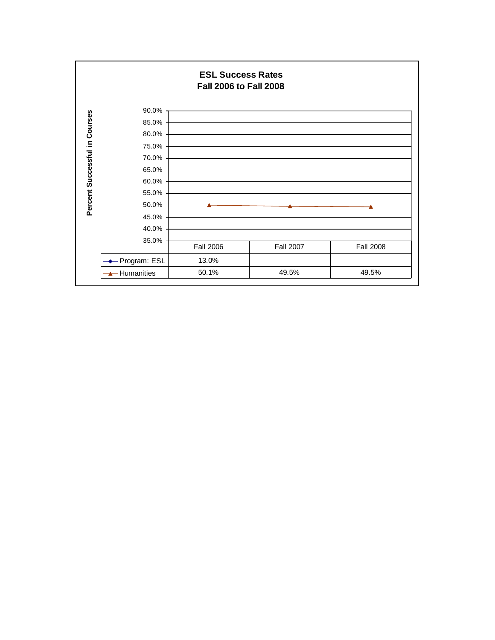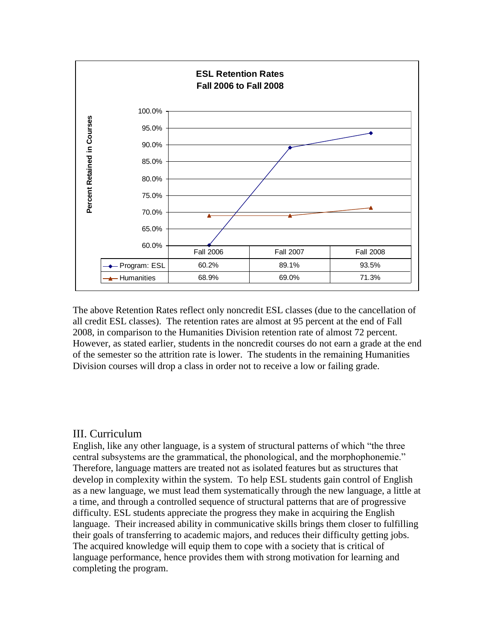

The above Retention Rates reflect only noncredit ESL classes (due to the cancellation of all credit ESL classes). The retention rates are almost at 95 percent at the end of Fall 2008, in comparison to the Humanities Division retention rate of almost 72 percent. However, as stated earlier, students in the noncredit courses do not earn a grade at the end of the semester so the attrition rate is lower. The students in the remaining Humanities Division courses will drop a class in order not to receive a low or failing grade.

#### III. Curriculum

English, like any other language, is a system of structural patterns of which "the three central subsystems are the grammatical, the phonological, and the morphophonemie." Therefore, language matters are treated not as isolated features but as structures that develop in complexity within the system. To help ESL students gain control of English as a new language, we must lead them systematically through the new language, a little at a time, and through a controlled sequence of structural patterns that are of progressive difficulty. ESL students appreciate the progress they make in acquiring the English language. Their increased ability in communicative skills brings them closer to fulfilling their goals of transferring to academic majors, and reduces their difficulty getting jobs. The acquired knowledge will equip them to cope with a society that is critical of language performance, hence provides them with strong motivation for learning and completing the program.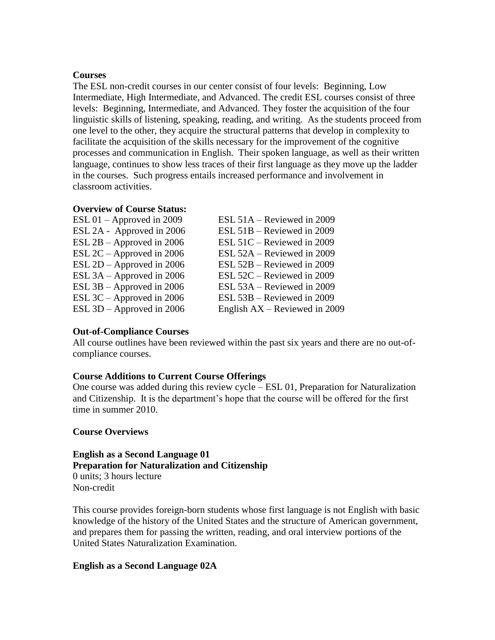#### **Courses**

The ESL non-credit courses in our center consist of four levels: Beginning, Low Intermediate, High Intermediate, and Advanced. The credit ESL courses consist of three levels: Beginning, Intermediate, and Advanced. They foster the acquisition of the four linguistic skills of listening, speaking, reading, and writing. As the students proceed from one level to the other, they acquire the structural patterns that develop in complexity to facilitate the acquisition of the skills necessary for the improvement of the cognitive processes and communication in English. Their spoken language, as well as their written language, continues to show less traces of their first language as they move up the ladder in the courses. Such progress entails increased performance and involvement in classroom activities.

#### **Overview of Course Status:**

| ESL $01 -$ Approved in 2009 | ESL 51A – Reviewed in 2009      |
|-----------------------------|---------------------------------|
| ESL 2A - Approved in 2006   | ESL 51B – Reviewed in 2009      |
| ESL $2B -$ Approved in 2006 | ESL 51C – Reviewed in 2009      |
| ESL $2C -$ Approved in 2006 | ESL 52A – Reviewed in 2009      |
| ESL $2D$ – Approved in 2006 | ESL 52B – Reviewed in 2009      |
| ESL $3A -$ Approved in 2006 | ESL 52C – Reviewed in 2009      |
| ESL $3B -$ Approved in 2006 | ESL 53A – Reviewed in 2009      |
| ESL $3C$ – Approved in 2006 | ESL 53B – Reviewed in 2009      |
| ESL 3D - Approved in 2006   | English $AX -$ Reviewed in 2009 |

#### **Out-of-Compliance Courses**

All course outlines have been reviewed within the past six years and there are no out-ofcompliance courses.

#### **Course Additions to Current Course Offerings**

One course was added during this review cycle – ESL 01, Preparation for Naturalization and Citizenship. It is the department's hope that the course will be offered for the first time in summer 2010.

#### **Course Overviews**

**English as a Second Language 01 Preparation for Naturalization and Citizenship** 0 units; 3 hours lecture Non-credit

This course provides foreign-born students whose first language is not English with basic knowledge of the history of the United States and the structure of American government, and prepares them for passing the written, reading, and oral interview portions of the United States Naturalization Examination.

#### **English as a Second Language 02A**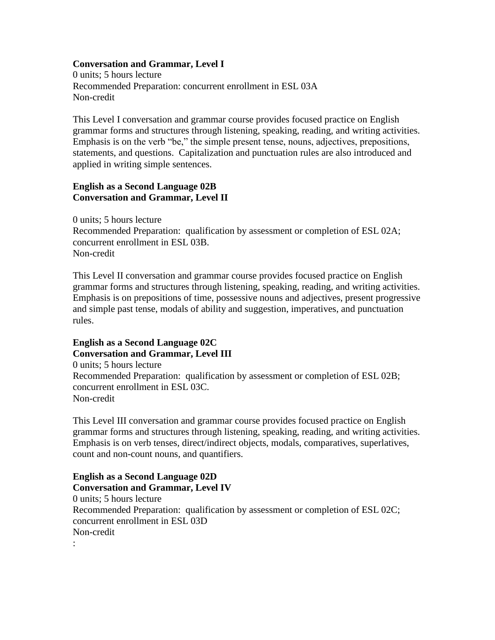#### **Conversation and Grammar, Level I**

0 units; 5 hours lecture Recommended Preparation: concurrent enrollment in ESL 03A Non-credit

This Level I conversation and grammar course provides focused practice on English grammar forms and structures through listening, speaking, reading, and writing activities. Emphasis is on the verb "be," the simple present tense, nouns, adjectives, prepositions, statements, and questions. Capitalization and punctuation rules are also introduced and applied in writing simple sentences.

#### **English as a Second Language 02B Conversation and Grammar, Level II**

0 units; 5 hours lecture Recommended Preparation: qualification by assessment or completion of ESL 02A; concurrent enrollment in ESL 03B. Non-credit

This Level II conversation and grammar course provides focused practice on English grammar forms and structures through listening, speaking, reading, and writing activities. Emphasis is on prepositions of time, possessive nouns and adjectives, present progressive and simple past tense, modals of ability and suggestion, imperatives, and punctuation rules.

# **English as a Second Language 02C Conversation and Grammar, Level III**

0 units; 5 hours lecture Recommended Preparation: qualification by assessment or completion of ESL 02B; concurrent enrollment in ESL 03C. Non-credit

This Level III conversation and grammar course provides focused practice on English grammar forms and structures through listening, speaking, reading, and writing activities. Emphasis is on verb tenses, direct/indirect objects, modals, comparatives, superlatives, count and non-count nouns, and quantifiers.

#### **English as a Second Language 02D Conversation and Grammar, Level IV**

0 units; 5 hours lecture Recommended Preparation: qualification by assessment or completion of ESL 02C; concurrent enrollment in ESL 03D Non-credit

: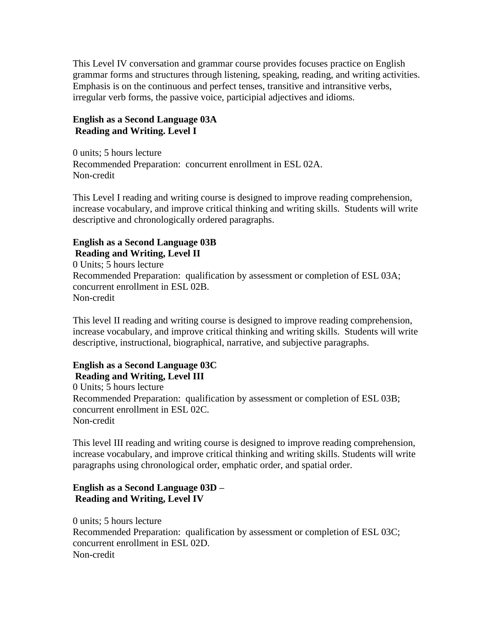This Level IV conversation and grammar course provides focuses practice on English grammar forms and structures through listening, speaking, reading, and writing activities. Emphasis is on the continuous and perfect tenses, transitive and intransitive verbs, irregular verb forms, the passive voice, participial adjectives and idioms.

#### **English as a Second Language 03A Reading and Writing. Level I**

0 units; 5 hours lecture Recommended Preparation: concurrent enrollment in ESL 02A. Non-credit

This Level I reading and writing course is designed to improve reading comprehension, increase vocabulary, and improve critical thinking and writing skills. Students will write descriptive and chronologically ordered paragraphs.

### **English as a Second Language 03B Reading and Writing, Level II**

0 Units; 5 hours lecture Recommended Preparation: qualification by assessment or completion of ESL 03A; concurrent enrollment in ESL 02B. Non-credit

This level II reading and writing course is designed to improve reading comprehension, increase vocabulary, and improve critical thinking and writing skills. Students will write descriptive, instructional, biographical, narrative, and subjective paragraphs.

# **English as a Second Language 03C Reading and Writing, Level III**

0 Units; 5 hours lecture Recommended Preparation: qualification by assessment or completion of ESL 03B; concurrent enrollment in ESL 02C. Non-credit

This level III reading and writing course is designed to improve reading comprehension, increase vocabulary, and improve critical thinking and writing skills. Students will write paragraphs using chronological order, emphatic order, and spatial order.

# **English as a Second Language 03D – Reading and Writing, Level IV**

0 units; 5 hours lecture Recommended Preparation: qualification by assessment or completion of ESL 03C; concurrent enrollment in ESL 02D. Non-credit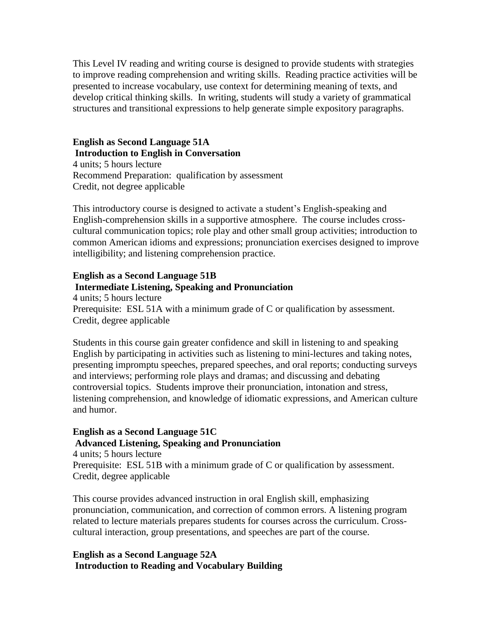This Level IV reading and writing course is designed to provide students with strategies to improve reading comprehension and writing skills. Reading practice activities will be presented to increase vocabulary, use context for determining meaning of texts, and develop critical thinking skills. In writing, students will study a variety of grammatical structures and transitional expressions to help generate simple expository paragraphs.

**English as Second Language 51A Introduction to English in Conversation** 4 units; 5 hours lecture Recommend Preparation: qualification by assessment Credit, not degree applicable

This introductory course is designed to activate a student's English-speaking and English-comprehension skills in a supportive atmosphere. The course includes crosscultural communication topics; role play and other small group activities; introduction to common American idioms and expressions; pronunciation exercises designed to improve intelligibility; and listening comprehension practice.

#### **English as a Second Language 51B Intermediate Listening, Speaking and Pronunciation**

4 units; 5 hours lecture Prerequisite: ESL 51A with a minimum grade of C or qualification by assessment. Credit, degree applicable

Students in this course gain greater confidence and skill in listening to and speaking English by participating in activities such as listening to mini-lectures and taking notes, presenting impromptu speeches, prepared speeches, and oral reports; conducting surveys and interviews; performing role plays and dramas; and discussing and debating controversial topics. Students improve their pronunciation, intonation and stress, listening comprehension, and knowledge of idiomatic expressions, and American culture and humor.

# **English as a Second Language 51C Advanced Listening, Speaking and Pronunciation**

4 units; 5 hours lecture Prerequisite: ESL 51B with a minimum grade of C or qualification by assessment. Credit, degree applicable

This course provides advanced instruction in oral English skill, emphasizing pronunciation, communication, and correction of common errors. A listening program related to lecture materials prepares students for courses across the curriculum. Crosscultural interaction, group presentations, and speeches are part of the course.

#### **English as a Second Language 52A Introduction to Reading and Vocabulary Building**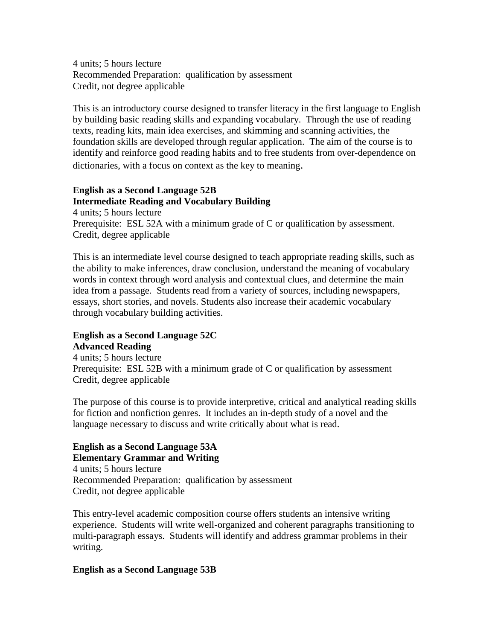4 units; 5 hours lecture Recommended Preparation: qualification by assessment Credit, not degree applicable

This is an introductory course designed to transfer literacy in the first language to English by building basic reading skills and expanding vocabulary. Through the use of reading texts, reading kits, main idea exercises, and skimming and scanning activities, the foundation skills are developed through regular application. The aim of the course is to identify and reinforce good reading habits and to free students from over-dependence on dictionaries, with a focus on context as the key to meaning.

### **English as a Second Language 52B Intermediate Reading and Vocabulary Building**

4 units; 5 hours lecture Prerequisite: ESL 52A with a minimum grade of C or qualification by assessment. Credit, degree applicable

This is an intermediate level course designed to teach appropriate reading skills, such as the ability to make inferences, draw conclusion, understand the meaning of vocabulary words in context through word analysis and contextual clues, and determine the main idea from a passage. Students read from a variety of sources, including newspapers, essays, short stories, and novels. Students also increase their academic vocabulary through vocabulary building activities.

#### **English as a Second Language 52C Advanced Reading**

4 units; 5 hours lecture Prerequisite: ESL 52B with a minimum grade of C or qualification by assessment Credit, degree applicable

The purpose of this course is to provide interpretive, critical and analytical reading skills for fiction and nonfiction genres. It includes an in-depth study of a novel and the language necessary to discuss and write critically about what is read.

#### **English as a Second Language 53A Elementary Grammar and Writing**

4 units; 5 hours lecture Recommended Preparation: qualification by assessment Credit, not degree applicable

This entry-level academic composition course offers students an intensive writing experience. Students will write well-organized and coherent paragraphs transitioning to multi-paragraph essays. Students will identify and address grammar problems in their writing.

#### **English as a Second Language 53B**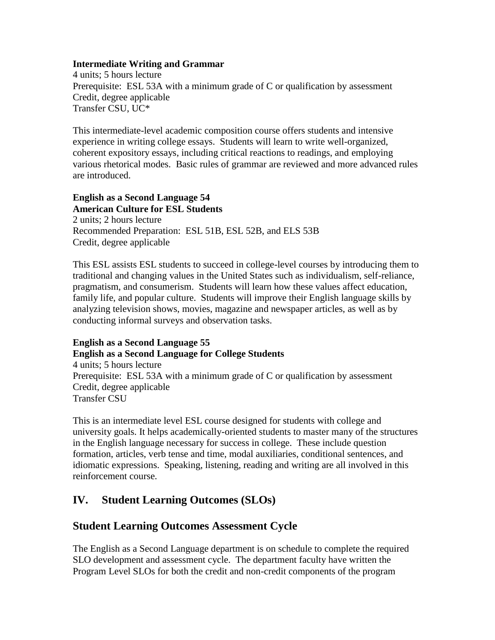#### **Intermediate Writing and Grammar**

4 units; 5 hours lecture Prerequisite: ESL 53A with a minimum grade of C or qualification by assessment Credit, degree applicable Transfer CSU, UC\*

This intermediate-level academic composition course offers students and intensive experience in writing college essays. Students will learn to write well-organized, coherent expository essays, including critical reactions to readings, and employing various rhetorical modes. Basic rules of grammar are reviewed and more advanced rules are introduced.

#### **English as a Second Language 54 American Culture for ESL Students**

2 units; 2 hours lecture Recommended Preparation: ESL 51B, ESL 52B, and ELS 53B Credit, degree applicable

This ESL assists ESL students to succeed in college-level courses by introducing them to traditional and changing values in the United States such as individualism, self-reliance, pragmatism, and consumerism. Students will learn how these values affect education, family life, and popular culture. Students will improve their English language skills by analyzing television shows, movies, magazine and newspaper articles, as well as by conducting informal surveys and observation tasks.

# **English as a Second Language 55**

#### **English as a Second Language for College Students**

4 units; 5 hours lecture Prerequisite: ESL 53A with a minimum grade of C or qualification by assessment Credit, degree applicable Transfer CSU

This is an intermediate level ESL course designed for students with college and university goals. It helps academically-oriented students to master many of the structures in the English language necessary for success in college. These include question formation, articles, verb tense and time, modal auxiliaries, conditional sentences, and idiomatic expressions. Speaking, listening, reading and writing are all involved in this reinforcement course.

# **IV. Student Learning Outcomes (SLOs)**

# **Student Learning Outcomes Assessment Cycle**

The English as a Second Language department is on schedule to complete the required SLO development and assessment cycle. The department faculty have written the Program Level SLOs for both the credit and non-credit components of the program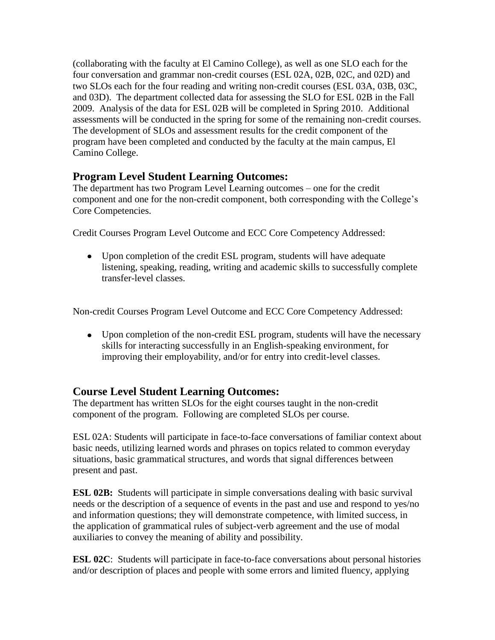(collaborating with the faculty at El Camino College), as well as one SLO each for the four conversation and grammar non-credit courses (ESL 02A, 02B, 02C, and 02D) and two SLOs each for the four reading and writing non-credit courses (ESL 03A, 03B, 03C, and 03D). The department collected data for assessing the SLO for ESL 02B in the Fall 2009. Analysis of the data for ESL 02B will be completed in Spring 2010. Additional assessments will be conducted in the spring for some of the remaining non-credit courses. The development of SLOs and assessment results for the credit component of the program have been completed and conducted by the faculty at the main campus, El Camino College.

# **Program Level Student Learning Outcomes:**

The department has two Program Level Learning outcomes – one for the credit component and one for the non-credit component, both corresponding with the College's Core Competencies.

Credit Courses Program Level Outcome and ECC Core Competency Addressed:

• Upon completion of the credit ESL program, students will have adequate listening, speaking, reading, writing and academic skills to successfully complete transfer-level classes.

Non-credit Courses Program Level Outcome and ECC Core Competency Addressed:

Upon completion of the non-credit ESL program, students will have the necessary skills for interacting successfully in an English-speaking environment, for improving their employability, and/or for entry into credit-level classes.

# **Course Level Student Learning Outcomes:**

The department has written SLOs for the eight courses taught in the non-credit component of the program. Following are completed SLOs per course.

ESL 02A: Students will participate in face-to-face conversations of familiar context about basic needs, utilizing learned words and phrases on topics related to common everyday situations, basic grammatical structures, and words that signal differences between present and past.

**ESL 02B:** Students will participate in simple conversations dealing with basic survival needs or the description of a sequence of events in the past and use and respond to yes/no and information questions; they will demonstrate competence, with limited success, in the application of grammatical rules of subject-verb agreement and the use of modal auxiliaries to convey the meaning of ability and possibility.

**ESL 02C**: Students will participate in face-to-face conversations about personal histories and/or description of places and people with some errors and limited fluency, applying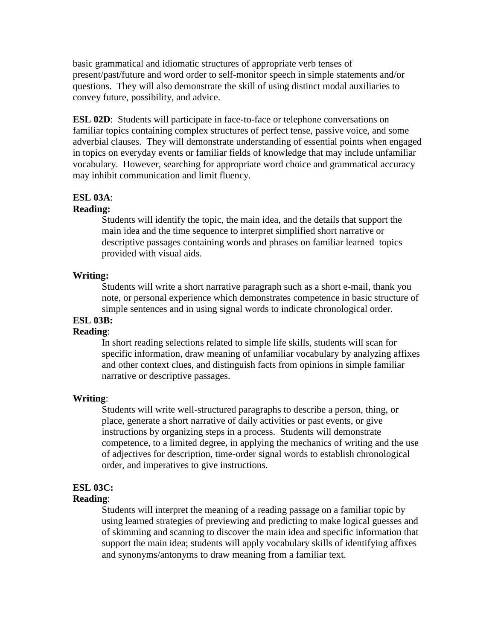basic grammatical and idiomatic structures of appropriate verb tenses of present/past/future and word order to self-monitor speech in simple statements and/or questions. They will also demonstrate the skill of using distinct modal auxiliaries to convey future, possibility, and advice.

**ESL 02D:** Students will participate in face-to-face or telephone conversations on familiar topics containing complex structures of perfect tense, passive voice, and some adverbial clauses. They will demonstrate understanding of essential points when engaged in topics on everyday events or familiar fields of knowledge that may include unfamiliar vocabulary. However, searching for appropriate word choice and grammatical accuracy may inhibit communication and limit fluency.

#### **ESL 03A**:

#### **Reading:**

Students will identify the topic, the main idea, and the details that support the main idea and the time sequence to interpret simplified short narrative or descriptive passages containing words and phrases on familiar learned topics provided with visual aids.

#### **Writing:**

Students will write a short narrative paragraph such as a short e-mail, thank you note, or personal experience which demonstrates competence in basic structure of simple sentences and in using signal words to indicate chronological order.

# **ESL 03B:**

#### **Reading**:

In short reading selections related to simple life skills, students will scan for specific information, draw meaning of unfamiliar vocabulary by analyzing affixes and other context clues, and distinguish facts from opinions in simple familiar narrative or descriptive passages.

#### **Writing**:

Students will write well-structured paragraphs to describe a person, thing, or place, generate a short narrative of daily activities or past events, or give instructions by organizing steps in a process. Students will demonstrate competence, to a limited degree, in applying the mechanics of writing and the use of adjectives for description, time-order signal words to establish chronological order, and imperatives to give instructions.

#### **ESL 03C:**

#### **Reading**:

Students will interpret the meaning of a reading passage on a familiar topic by using learned strategies of previewing and predicting to make logical guesses and of skimming and scanning to discover the main idea and specific information that support the main idea; students will apply vocabulary skills of identifying affixes and synonyms/antonyms to draw meaning from a familiar text.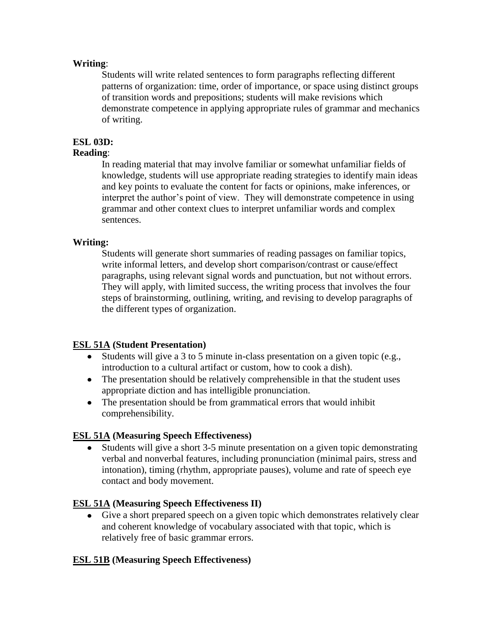#### **Writing**:

Students will write related sentences to form paragraphs reflecting different patterns of organization: time, order of importance, or space using distinct groups of transition words and prepositions; students will make revisions which demonstrate competence in applying appropriate rules of grammar and mechanics of writing.

#### **ESL 03D:**

#### **Reading**:

In reading material that may involve familiar or somewhat unfamiliar fields of knowledge, students will use appropriate reading strategies to identify main ideas and key points to evaluate the content for facts or opinions, make inferences, or interpret the author's point of view. They will demonstrate competence in using grammar and other context clues to interpret unfamiliar words and complex sentences.

#### **Writing:**

Students will generate short summaries of reading passages on familiar topics, write informal letters, and develop short comparison/contrast or cause/effect paragraphs, using relevant signal words and punctuation, but not without errors. They will apply, with limited success, the writing process that involves the four steps of brainstorming, outlining, writing, and revising to develop paragraphs of the different types of organization.

#### **ESL 51A (Student Presentation)**

- Students will give a 3 to 5 minute in-class presentation on a given topic (e.g., introduction to a cultural artifact or custom, how to cook a dish).
- The presentation should be relatively comprehensible in that the student uses appropriate diction and has intelligible pronunciation.
- The presentation should be from grammatical errors that would inhibit comprehensibility.

#### **ESL 51A (Measuring Speech Effectiveness)**

Students will give a short 3-5 minute presentation on a given topic demonstrating verbal and nonverbal features, including pronunciation (minimal pairs, stress and intonation), timing (rhythm, appropriate pauses), volume and rate of speech eye contact and body movement.

#### **ESL 51A (Measuring Speech Effectiveness II)**

Give a short prepared speech on a given topic which demonstrates relatively clear and coherent knowledge of vocabulary associated with that topic, which is relatively free of basic grammar errors.

#### **ESL 51B (Measuring Speech Effectiveness)**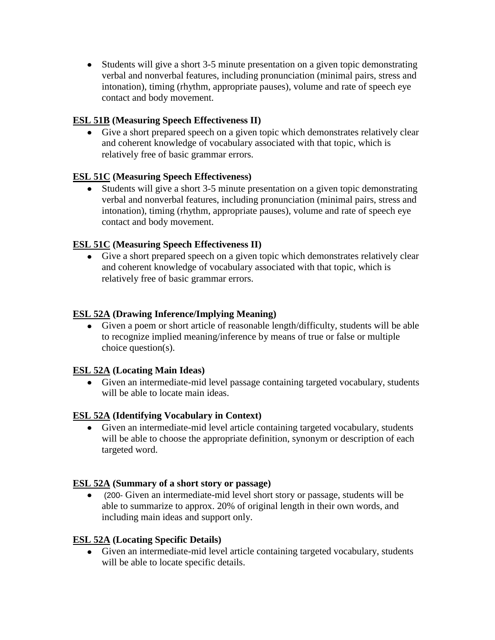Students will give a short 3-5 minute presentation on a given topic demonstrating verbal and nonverbal features, including pronunciation (minimal pairs, stress and intonation), timing (rhythm, appropriate pauses), volume and rate of speech eye contact and body movement.

# **ESL 51B (Measuring Speech Effectiveness II)**

Give a short prepared speech on a given topic which demonstrates relatively clear and coherent knowledge of vocabulary associated with that topic, which is relatively free of basic grammar errors.

# **ESL 51C (Measuring Speech Effectiveness)**

Students will give a short 3-5 minute presentation on a given topic demonstrating verbal and nonverbal features, including pronunciation (minimal pairs, stress and intonation), timing (rhythm, appropriate pauses), volume and rate of speech eye contact and body movement.

# **ESL 51C (Measuring Speech Effectiveness II)**

Give a short prepared speech on a given topic which demonstrates relatively clear and coherent knowledge of vocabulary associated with that topic, which is relatively free of basic grammar errors.

# **ESL 52A (Drawing Inference/Implying Meaning)**

Given a poem or short article of reasonable length/difficulty, students will be able to recognize implied meaning/inference by means of true or false or multiple choice question(s).

#### **ESL 52A (Locating Main Ideas)**

Given an intermediate-mid level passage containing targeted vocabulary, students will be able to locate main ideas.

#### **ESL 52A (Identifying Vocabulary in Context)**

Given an intermediate-mid level article containing targeted vocabulary, students will be able to choose the appropriate definition, synonym or description of each targeted word.

#### **ESL 52A (Summary of a short story or passage)**

(200- Given an intermediate-mid level short story or passage, students will be able to summarize to approx. 20% of original length in their own words, and including main ideas and support only.

#### **ESL 52A (Locating Specific Details)**

Given an intermediate-mid level article containing targeted vocabulary, students will be able to locate specific details.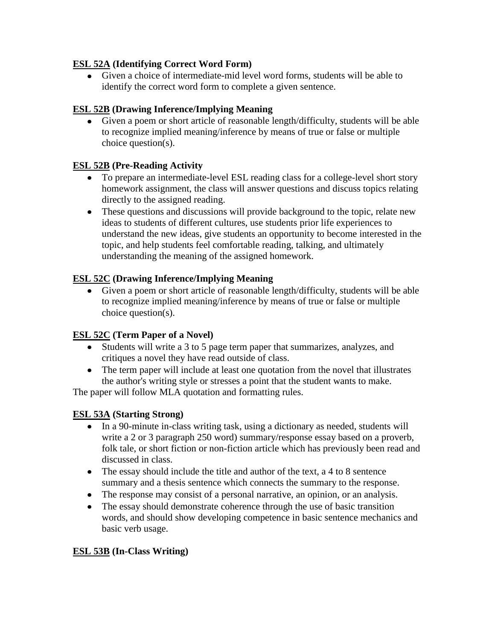# **ESL 52A (Identifying Correct Word Form)**

Given a choice of intermediate-mid level word forms, students will be able to identify the correct word form to complete a given sentence.

# **ESL 52B (Drawing Inference/Implying Meaning**

Given a poem or short article of reasonable length/difficulty, students will be able to recognize implied meaning/inference by means of true or false or multiple choice question(s).

# **ESL 52B (Pre-Reading Activity**

- To prepare an intermediate-level ESL reading class for a college-level short story homework assignment, the class will answer questions and discuss topics relating directly to the assigned reading.
- These questions and discussions will provide background to the topic, relate new ideas to students of different cultures, use students prior life experiences to understand the new ideas, give students an opportunity to become interested in the topic, and help students feel comfortable reading, talking, and ultimately understanding the meaning of the assigned homework.

# **ESL 52C (Drawing Inference/Implying Meaning**

Given a poem or short article of reasonable length/difficulty, students will be able to recognize implied meaning/inference by means of true or false or multiple choice question(s).

# **ESL 52C (Term Paper of a Novel)**

- Students will write a 3 to 5 page term paper that summarizes, analyzes, and critiques a novel they have read outside of class.
- The term paper will include at least one quotation from the novel that illustrates the author's writing style or stresses a point that the student wants to make.

The paper will follow MLA quotation and formatting rules.

# **ESL 53A (Starting Strong)**

- In a 90-minute in-class writing task, using a dictionary as needed, students will write a 2 or 3 paragraph 250 word) summary/response essay based on a proverb, folk tale, or short fiction or non-fiction article which has previously been read and discussed in class.
- The essay should include the title and author of the text, a 4 to 8 sentence summary and a thesis sentence which connects the summary to the response.
- The response may consist of a personal narrative, an opinion, or an analysis.
- The essay should demonstrate coherence through the use of basic transition words, and should show developing competence in basic sentence mechanics and basic verb usage.

# **ESL 53B (In-Class Writing)**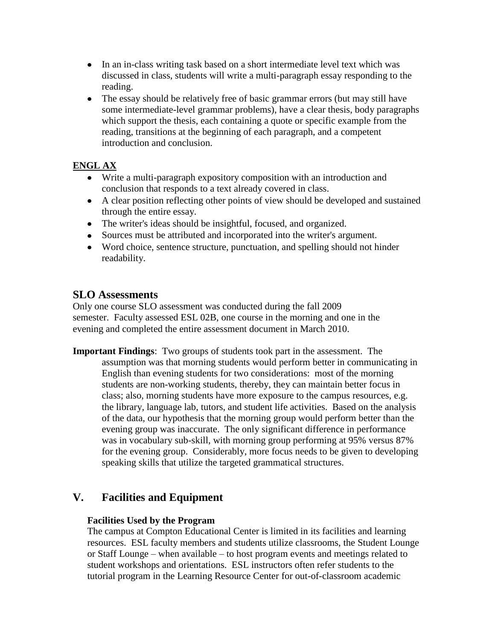- In an in-class writing task based on a short intermediate level text which was discussed in class, students will write a multi-paragraph essay responding to the reading.
- The essay should be relatively free of basic grammar errors (but may still have some intermediate-level grammar problems), have a clear thesis, body paragraphs which support the thesis, each containing a quote or specific example from the reading, transitions at the beginning of each paragraph, and a competent introduction and conclusion.

# **ENGL AX**

- Write a multi-paragraph expository composition with an introduction and conclusion that responds to a text already covered in class.
- A clear position reflecting other points of view should be developed and sustained through the entire essay.
- The writer's ideas should be insightful, focused, and organized.
- Sources must be attributed and incorporated into the writer's argument.
- Word choice, sentence structure, punctuation, and spelling should not hinder readability.

# **SLO Assessments**

Only one course SLO assessment was conducted during the fall 2009 semester. Faculty assessed ESL 02B, one course in the morning and one in the evening and completed the entire assessment document in March 2010.

**Important Findings**: Two groups of students took part in the assessment. The assumption was that morning students would perform better in communicating in English than evening students for two considerations: most of the morning students are non-working students, thereby, they can maintain better focus in class; also, morning students have more exposure to the campus resources, e.g. the library, language lab, tutors, and student life activities. Based on the analysis of the data, our hypothesis that the morning group would perform better than the evening group was inaccurate. The only significant difference in performance was in vocabulary sub-skill, with morning group performing at 95% versus 87% for the evening group. Considerably, more focus needs to be given to developing speaking skills that utilize the targeted grammatical structures.

# **V. Facilities and Equipment**

#### **Facilities Used by the Program**

The campus at Compton Educational Center is limited in its facilities and learning resources. ESL faculty members and students utilize classrooms, the Student Lounge or Staff Lounge – when available – to host program events and meetings related to student workshops and orientations. ESL instructors often refer students to the tutorial program in the Learning Resource Center for out-of-classroom academic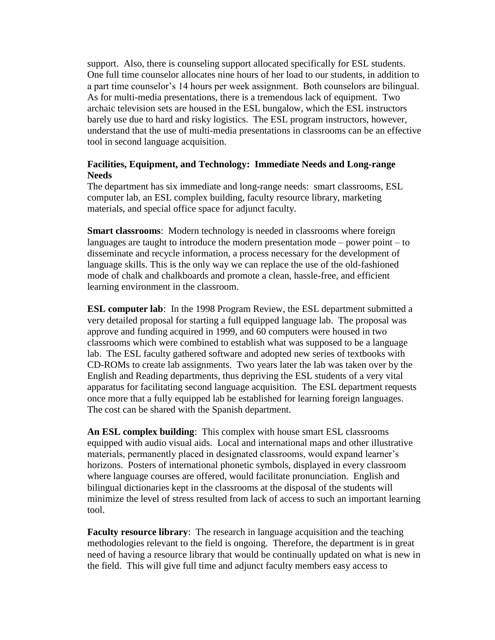support. Also, there is counseling support allocated specifically for ESL students. One full time counselor allocates nine hours of her load to our students, in addition to a part time counselor's 14 hours per week assignment. Both counselors are bilingual. As for multi-media presentations, there is a tremendous lack of equipment. Two archaic television sets are housed in the ESL bungalow, which the ESL instructors barely use due to hard and risky logistics. The ESL program instructors, however, understand that the use of multi-media presentations in classrooms can be an effective tool in second language acquisition.

#### **Facilities, Equipment, and Technology: Immediate Needs and Long-range Needs**

The department has six immediate and long-range needs: smart classrooms, ESL computer lab, an ESL complex building, faculty resource library, marketing materials, and special office space for adjunct faculty.

**Smart classrooms**: Modern technology is needed in classrooms where foreign languages are taught to introduce the modern presentation mode – power point – to disseminate and recycle information, a process necessary for the development of language skills. This is the only way we can replace the use of the old-fashioned mode of chalk and chalkboards and promote a clean, hassle-free, and efficient learning environment in the classroom.

**ESL computer lab**: In the 1998 Program Review, the ESL department submitted a very detailed proposal for starting a full equipped language lab. The proposal was approve and funding acquired in 1999, and 60 computers were housed in two classrooms which were combined to establish what was supposed to be a language lab. The ESL faculty gathered software and adopted new series of textbooks with CD-ROMs to create lab assignments. Two years later the lab was taken over by the English and Reading departments, thus depriving the ESL students of a very vital apparatus for facilitating second language acquisition. The ESL department requests once more that a fully equipped lab be established for learning foreign languages. The cost can be shared with the Spanish department.

**An ESL complex building**: This complex with house smart ESL classrooms equipped with audio visual aids. Local and international maps and other illustrative materials, permanently placed in designated classrooms, would expand learner's horizons. Posters of international phonetic symbols, displayed in every classroom where language courses are offered, would facilitate pronunciation. English and bilingual dictionaries kept in the classrooms at the disposal of the students will minimize the level of stress resulted from lack of access to such an important learning tool.

**Faculty resource library**: The research in language acquisition and the teaching methodologies relevant to the field is ongoing. Therefore, the department is in great need of having a resource library that would be continually updated on what is new in the field. This will give full time and adjunct faculty members easy access to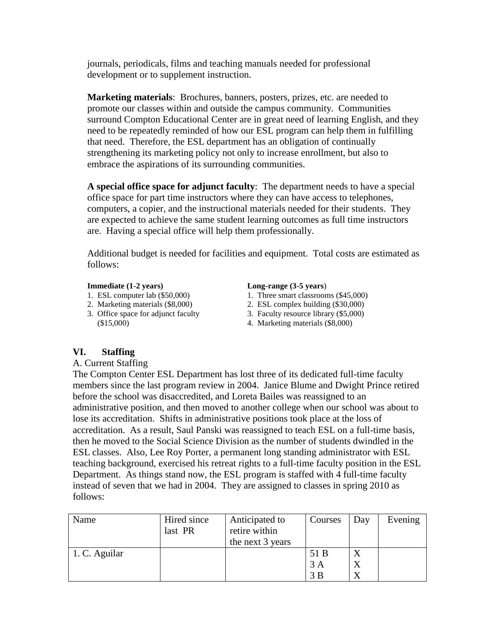journals, periodicals, films and teaching manuals needed for professional development or to supplement instruction.

**Marketing materials**: Brochures, banners, posters, prizes, etc. are needed to promote our classes within and outside the campus community. Communities surround Compton Educational Center are in great need of learning English, and they need to be repeatedly reminded of how our ESL program can help them in fulfilling that need. Therefore, the ESL department has an obligation of continually strengthening its marketing policy not only to increase enrollment, but also to embrace the aspirations of its surrounding communities.

**A special office space for adjunct faculty**: The department needs to have a special office space for part time instructors where they can have access to telephones, computers, a copier, and the instructional materials needed for their students. They are expected to achieve the same student learning outcomes as full time instructors are. Having a special office will help them professionally.

Additional budget is needed for facilities and equipment. Total costs are estimated as follows:

- 
- 
- 3. Office space for adjunct faculty 3. Faculty resource library (\$5,000) (\$15,000) 4. Marketing materials (\$8,000)

#### **Immediate (1-2 years) Long-range (3-5 years**)

- 1. ESL computer lab (\$50,000) 1. Three smart classrooms (\$45,000)
- 2. Marketing materials (\$8,000) 2. ESL complex building (\$30,000)
	-
	-

#### **VI. Staffing**

#### A. Current Staffing

The Compton Center ESL Department has lost three of its dedicated full-time faculty members since the last program review in 2004. Janice Blume and Dwight Prince retired before the school was disaccredited, and Loreta Bailes was reassigned to an administrative position, and then moved to another college when our school was about to lose its accreditation. Shifts in administrative positions took place at the loss of accreditation. As a result, Saul Panski was reassigned to teach ESL on a full-time basis, then he moved to the Social Science Division as the number of students dwindled in the ESL classes. Also, Lee Roy Porter, a permanent long standing administrator with ESL teaching background, exercised his retreat rights to a full-time faculty position in the ESL Department. As things stand now, the ESL program is staffed with 4 full-time faculty instead of seven that we had in 2004. They are assigned to classes in spring 2010 as follows:

| Name          | Hired since<br>last PR | Anticipated to<br>retire within<br>the next 3 years | Courses | Day | Evening |
|---------------|------------------------|-----------------------------------------------------|---------|-----|---------|
| 1. C. Aguilar |                        |                                                     | 51 B    | X   |         |
|               |                        |                                                     | 3A      | X   |         |
|               |                        |                                                     |         | X   |         |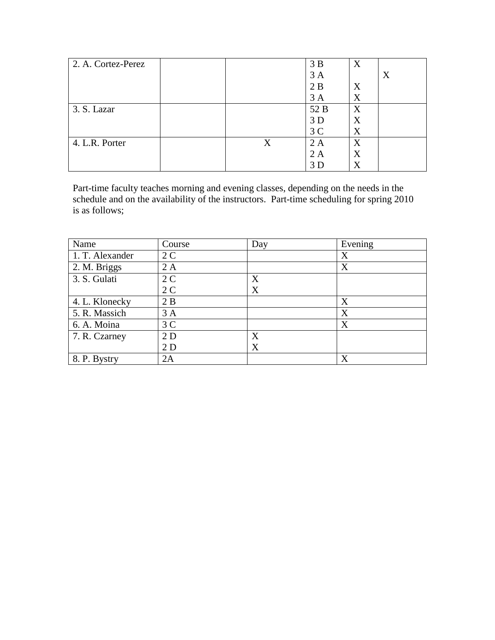| 2. A. Cortez-Perez |   | 3B             | X |   |
|--------------------|---|----------------|---|---|
|                    |   | 3A             |   | X |
|                    |   | 2B             | X |   |
|                    |   | 3A             | X |   |
| 3. S. Lazar        |   | 52 B           | X |   |
|                    |   | 3D             | X |   |
|                    |   | 3 <sup>C</sup> | X |   |
| 4. L.R. Porter     | X | 2A             | X |   |
|                    |   | 2 A            | X |   |
|                    |   | 3D             | X |   |

Part-time faculty teaches morning and evening classes, depending on the needs in the schedule and on the availability of the instructors. Part-time scheduling for spring 2010 is as follows;

| Name            | Course         | Day | Evening |
|-----------------|----------------|-----|---------|
| 1. T. Alexander | 2 <sub>C</sub> |     | X       |
| 2. M. Briggs    | 2A             |     | X       |
| 3. S. Gulati    | 2 <sub>C</sub> | X   |         |
|                 | 2 <sub>C</sub> | X   |         |
| 4. L. Klonecky  | 2B             |     | X       |
| 5. R. Massich   | 3A             |     | X       |
| 6. A. Moina     | 3 <sup>C</sup> |     | X       |
| 7. R. Czarney   | 2D             | X   |         |
|                 | 2D             | X   |         |
| 8. P. Bystry    | 2A             |     | X       |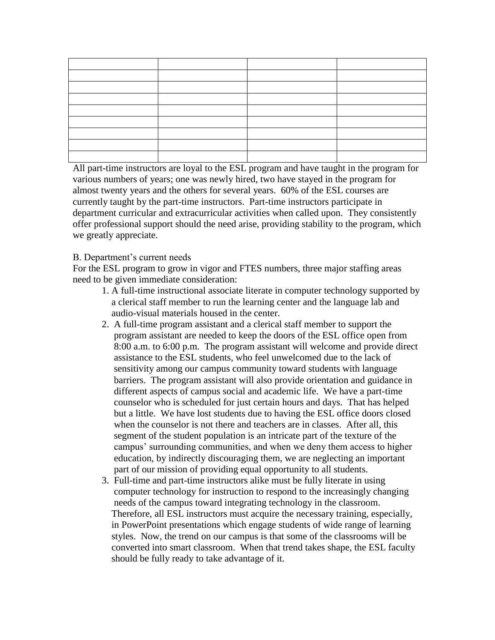All part-time instructors are loyal to the ESL program and have taught in the program for various numbers of years; one was newly hired, two have stayed in the program for almost twenty years and the others for several years. 60% of the ESL courses are currently taught by the part-time instructors. Part-time instructors participate in department curricular and extracurricular activities when called upon. They consistently offer professional support should the need arise, providing stability to the program, which we greatly appreciate.

#### B. Department's current needs

For the ESL program to grow in vigor and FTES numbers, three major staffing areas need to be given immediate consideration:

- 1. A full-time instructional associate literate in computer technology supported by a clerical staff member to run the learning center and the language lab and audio-visual materials housed in the center.
- 2. A full-time program assistant and a clerical staff member to support the program assistant are needed to keep the doors of the ESL office open from 8:00 a.m. to 6:00 p.m. The program assistant will welcome and provide direct assistance to the ESL students, who feel unwelcomed due to the lack of sensitivity among our campus community toward students with language barriers. The program assistant will also provide orientation and guidance in different aspects of campus social and academic life. We have a part-time counselor who is scheduled for just certain hours and days. That has helped but a little. We have lost students due to having the ESL office doors closed when the counselor is not there and teachers are in classes. After all, this segment of the student population is an intricate part of the texture of the campus' surrounding communities, and when we deny them access to higher education, by indirectly discouraging them, we are neglecting an important part of our mission of providing equal opportunity to all students.
- 3. Full-time and part-time instructors alike must be fully literate in using computer technology for instruction to respond to the increasingly changing needs of the campus toward integrating technology in the classroom. Therefore, all ESL instructors must acquire the necessary training, especially, in PowerPoint presentations which engage students of wide range of learning styles. Now, the trend on our campus is that some of the classrooms will be converted into smart classroom. When that trend takes shape, the ESL faculty should be fully ready to take advantage of it.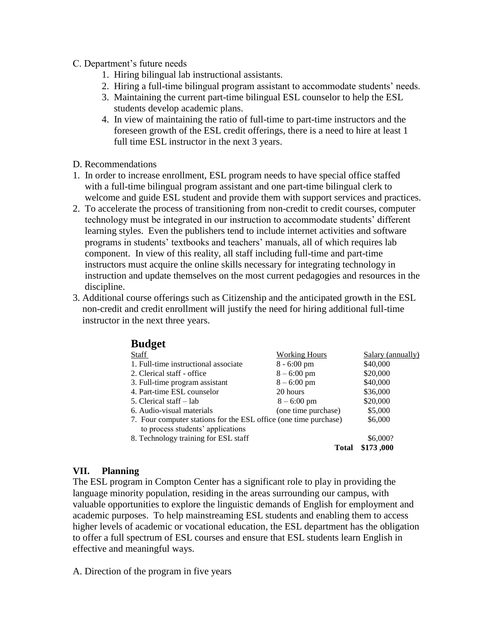- C. Department's future needs
	- 1. Hiring bilingual lab instructional assistants.
	- 2. Hiring a full-time bilingual program assistant to accommodate students' needs.
	- 3. Maintaining the current part-time bilingual ESL counselor to help the ESL students develop academic plans.
	- 4. In view of maintaining the ratio of full-time to part-time instructors and the foreseen growth of the ESL credit offerings, there is a need to hire at least 1 full time ESL instructor in the next 3 years.
- D. Recommendations
- 1. In order to increase enrollment, ESL program needs to have special office staffed with a full-time bilingual program assistant and one part-time bilingual clerk to welcome and guide ESL student and provide them with support services and practices.
- 2. To accelerate the process of transitioning from non-credit to credit courses, computer technology must be integrated in our instruction to accommodate students' different learning styles. Even the publishers tend to include internet activities and software programs in students' textbooks and teachers' manuals, all of which requires lab component. In view of this reality, all staff including full-time and part-time instructors must acquire the online skills necessary for integrating technology in instruction and update themselves on the most current pedagogies and resources in the discipline.
- 3. Additional course offerings such as Citizenship and the anticipated growth in the ESL non-credit and credit enrollment will justify the need for hiring additional full-time instructor in the next three years.

| <b>Budget</b>                                                    |                       |                   |
|------------------------------------------------------------------|-----------------------|-------------------|
| <b>Staff</b>                                                     | <b>Working Hours</b>  | Salary (annually) |
| 1. Full-time instructional associate                             | $8 - 6:00 \text{ pm}$ | \$40,000          |
| 2. Clerical staff - office                                       | $8 - 6:00 \text{ pm}$ | \$20,000          |
| 3. Full-time program assistant                                   | $8 - 6:00 \text{ pm}$ | \$40,000          |
| 4. Part-time ESL counselor                                       | 20 hours              | \$36,000          |
| 5. Clerical staff – lab                                          | $8 - 6:00 \text{ pm}$ | \$20,000          |
| 6. Audio-visual materials                                        | (one time purchase)   | \$5,000           |
| 7. Four computer stations for the ESL office (one time purchase) |                       | \$6,000           |
| to process students' applications                                |                       |                   |
| 8. Technology training for ESL staff                             |                       | \$6,000?          |
|                                                                  | Total                 | \$173,000         |

#### **VII. Planning**

The ESL program in Compton Center has a significant role to play in providing the language minority population, residing in the areas surrounding our campus, with valuable opportunities to explore the linguistic demands of English for employment and academic purposes. To help mainstreaming ESL students and enabling them to access higher levels of academic or vocational education, the ESL department has the obligation to offer a full spectrum of ESL courses and ensure that ESL students learn English in effective and meaningful ways.

A. Direction of the program in five years

**Budget**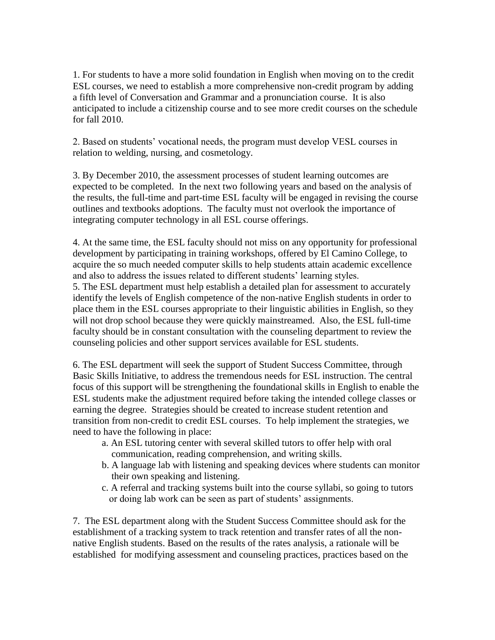1. For students to have a more solid foundation in English when moving on to the credit ESL courses, we need to establish a more comprehensive non-credit program by adding a fifth level of Conversation and Grammar and a pronunciation course. It is also anticipated to include a citizenship course and to see more credit courses on the schedule for fall 2010.

2. Based on students' vocational needs, the program must develop VESL courses in relation to welding, nursing, and cosmetology.

3. By December 2010, the assessment processes of student learning outcomes are expected to be completed. In the next two following years and based on the analysis of the results, the full-time and part-time ESL faculty will be engaged in revising the course outlines and textbooks adoptions. The faculty must not overlook the importance of integrating computer technology in all ESL course offerings.

4. At the same time, the ESL faculty should not miss on any opportunity for professional development by participating in training workshops, offered by El Camino College, to acquire the so much needed computer skills to help students attain academic excellence and also to address the issues related to different students' learning styles.

5. The ESL department must help establish a detailed plan for assessment to accurately identify the levels of English competence of the non-native English students in order to place them in the ESL courses appropriate to their linguistic abilities in English, so they will not drop school because they were quickly mainstreamed. Also, the ESL full-time faculty should be in constant consultation with the counseling department to review the counseling policies and other support services available for ESL students.

6. The ESL department will seek the support of Student Success Committee, through Basic Skills Initiative, to address the tremendous needs for ESL instruction. The central focus of this support will be strengthening the foundational skills in English to enable the ESL students make the adjustment required before taking the intended college classes or earning the degree. Strategies should be created to increase student retention and transition from non-credit to credit ESL courses. To help implement the strategies, we need to have the following in place:

- a. An ESL tutoring center with several skilled tutors to offer help with oral communication, reading comprehension, and writing skills.
- b. A language lab with listening and speaking devices where students can monitor their own speaking and listening.
- c. A referral and tracking systems built into the course syllabi, so going to tutors or doing lab work can be seen as part of students' assignments.

7. The ESL department along with the Student Success Committee should ask for the establishment of a tracking system to track retention and transfer rates of all the nonnative English students. Based on the results of the rates analysis, a rationale will be established for modifying assessment and counseling practices, practices based on the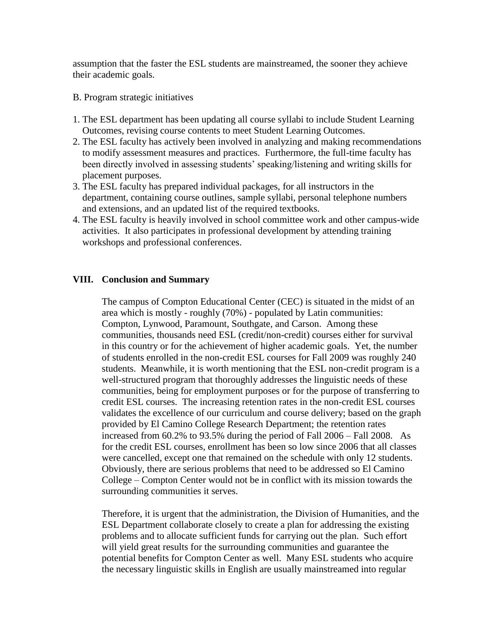assumption that the faster the ESL students are mainstreamed, the sooner they achieve their academic goals.

- B. Program strategic initiatives
- 1. The ESL department has been updating all course syllabi to include Student Learning Outcomes, revising course contents to meet Student Learning Outcomes.
- 2. The ESL faculty has actively been involved in analyzing and making recommendations to modify assessment measures and practices. Furthermore, the full-time faculty has been directly involved in assessing students' speaking/listening and writing skills for placement purposes.
- 3. The ESL faculty has prepared individual packages, for all instructors in the department, containing course outlines, sample syllabi, personal telephone numbers and extensions, and an updated list of the required textbooks.
- 4. The ESL faculty is heavily involved in school committee work and other campus-wide activities. It also participates in professional development by attending training workshops and professional conferences.

#### **VIII. Conclusion and Summary**

The campus of Compton Educational Center (CEC) is situated in the midst of an area which is mostly - roughly (70%) - populated by Latin communities: Compton, Lynwood, Paramount, Southgate, and Carson. Among these communities, thousands need ESL (credit/non-credit) courses either for survival in this country or for the achievement of higher academic goals. Yet, the number of students enrolled in the non-credit ESL courses for Fall 2009 was roughly 240 students. Meanwhile, it is worth mentioning that the ESL non-credit program is a well-structured program that thoroughly addresses the linguistic needs of these communities, being for employment purposes or for the purpose of transferring to credit ESL courses. The increasing retention rates in the non-credit ESL courses validates the excellence of our curriculum and course delivery; based on the graph provided by El Camino College Research Department; the retention rates increased from 60.2% to 93.5% during the period of Fall 2006 – Fall 2008. As for the credit ESL courses, enrollment has been so low since 2006 that all classes were cancelled, except one that remained on the schedule with only 12 students. Obviously, there are serious problems that need to be addressed so El Camino College – Compton Center would not be in conflict with its mission towards the surrounding communities it serves.

Therefore, it is urgent that the administration, the Division of Humanities, and the ESL Department collaborate closely to create a plan for addressing the existing problems and to allocate sufficient funds for carrying out the plan. Such effort will yield great results for the surrounding communities and guarantee the potential benefits for Compton Center as well. Many ESL students who acquire the necessary linguistic skills in English are usually mainstreamed into regular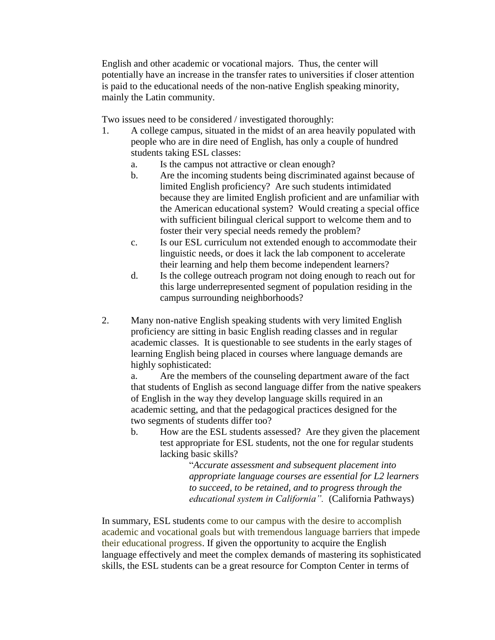English and other academic or vocational majors. Thus, the center will potentially have an increase in the transfer rates to universities if closer attention is paid to the educational needs of the non-native English speaking minority, mainly the Latin community.

Two issues need to be considered / investigated thoroughly:

- 1. A college campus, situated in the midst of an area heavily populated with people who are in dire need of English, has only a couple of hundred students taking ESL classes:
	- a. Is the campus not attractive or clean enough?
	- b. Are the incoming students being discriminated against because of limited English proficiency? Are such students intimidated because they are limited English proficient and are unfamiliar with the American educational system? Would creating a special office with sufficient bilingual clerical support to welcome them and to foster their very special needs remedy the problem?
	- c. Is our ESL curriculum not extended enough to accommodate their linguistic needs, or does it lack the lab component to accelerate their learning and help them become independent learners?
	- d. Is the college outreach program not doing enough to reach out for this large underrepresented segment of population residing in the campus surrounding neighborhoods?
- 2. Many non-native English speaking students with very limited English proficiency are sitting in basic English reading classes and in regular academic classes. It is questionable to see students in the early stages of learning English being placed in courses where language demands are highly sophisticated:

a. Are the members of the counseling department aware of the fact that students of English as second language differ from the native speakers of English in the way they develop language skills required in an academic setting, and that the pedagogical practices designed for the two segments of students differ too?

b. How are the ESL students assessed? Are they given the placement test appropriate for ESL students, not the one for regular students lacking basic skills?

> "*Accurate assessment and subsequent placement into appropriate language courses are essential for L2 learners to succeed, to be retained, and to progress through the educational system in California".* (California Pathways)

In summary, ESL students come to our campus with the desire to accomplish academic and vocational goals but with tremendous language barriers that impede their educational progress. If given the opportunity to acquire the English language effectively and meet the complex demands of mastering its sophisticated skills, the ESL students can be a great resource for Compton Center in terms of